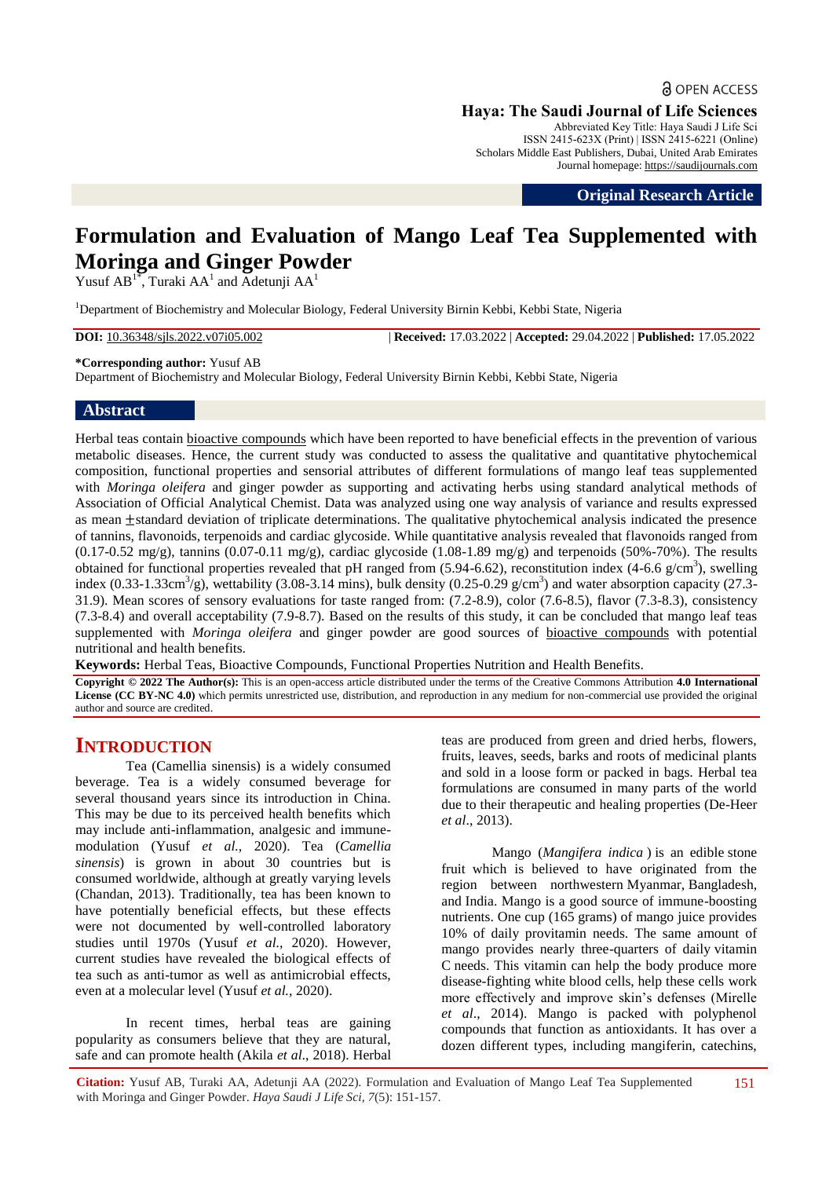**a** OPEN ACCESS **Haya: The Saudi Journal of Life Sciences**

Abbreviated Key Title: Haya Saudi J Life Sci ISSN 2415-623X (Print) | ISSN 2415-6221 (Online) Scholars Middle East Publishers, Dubai, United Arab Emirates Journal homepage: [https://saudijournals.com](https://saudijournals.com/sjls)

**Original Research Article**

# **Formulation and Evaluation of Mango Leaf Tea Supplemented with Moringa and Ginger Powder**

Yusuf AB<sup>1\*</sup>, Turaki AA<sup>1</sup> and Adetunji AA<sup>1</sup>

<sup>1</sup>Department of Biochemistry and Molecular Biology, Federal University Birnin Kebbi, Kebbi State, Nigeria

**DOI:** 10.36348/sjls.2022.v07i05.002 | **Received:** 17.03.2022 | **Accepted:** 29.04.2022 | **Published:** 17.05.2022

**\*Corresponding author:** Yusuf AB

Department of Biochemistry and Molecular Biology, Federal University Birnin Kebbi, Kebbi State, Nigeria

## **Abstract**

Herbal teas contain [bioactive compounds](https://www.sciencedirect.com/topics/food-science/bioactive-compound) which have been reported to have beneficial effects in the prevention of various metabolic diseases. Hence, the current study was conducted to assess the qualitative and quantitative phytochemical composition, functional properties and sensorial attributes of different formulations of mango leaf teas supplemented with *Moringa oleifera* and ginger powder as supporting and activating herbs using standard analytical methods of Association of Official Analytical Chemist. Data was analyzed using one way analysis of variance and results expressed as mean  $\pm$ standard deviation of triplicate determinations. The qualitative phytochemical analysis indicated the presence of tannins, flavonoids, terpenoids and cardiac glycoside. While quantitative analysis revealed that flavonoids ranged from  $(0.17-0.52 \text{ mg/g})$ , tannins  $(0.07-0.11 \text{ mg/g})$ , cardiac glycoside  $(1.08-1.89 \text{ mg/g})$  and terpenoids  $(50\% - 70\%)$ . The results obtained for functional properties revealed that pH ranged from  $(5.94-6.62)$ , reconstitution index  $(4-6.6 \text{ g/cm}^3)$ , swelling index  $(0.33-1.33cm^3/g)$ , wettability (3.08-3.14 mins), bulk density (0.25-0.29 g/cm<sup>3</sup>) and water absorption capacity (27.3-31.9). Mean scores of sensory evaluations for taste ranged from: (7.2-8.9), color (7.6-8.5), flavor (7.3-8.3), consistency (7.3-8.4) and overall acceptability (7.9-8.7). Based on the results of this study, it can be concluded that mango leaf teas supplemented with *Moringa oleifera* and ginger powder are good sources of bioactive [compounds](https://www.sciencedirect.com/topics/food-science/bioactive-compound) with potential nutritional and health benefits.

**Keywords:** Herbal Teas, Bioactive Compounds, Functional Properties Nutrition and Health Benefits.

**Copyright © 2022 The Author(s):** This is an open-access article distributed under the terms of the Creative Commons Attribution **4.0 International License (CC BY-NC 4.0)** which permits unrestricted use, distribution, and reproduction in any medium for non-commercial use provided the original author and source are credited.

## **INTRODUCTION**

Tea (Camellia sinensis) is a widely consumed beverage. Tea is a widely consumed beverage for several thousand years since its introduction in China. This may be due to its perceived health benefits which may include anti-inflammation, analgesic and immunemodulation (Yusuf *et al.,* 2020). Tea (*Camellia sinensis*) is grown in about 30 countries but is consumed worldwide, although at greatly varying levels (Chandan, 2013). Traditionally, tea has been known to have potentially beneficial effects, but these effects were not documented by well-controlled laboratory studies until 1970s (Yusuf *et al.,* 2020). However, current studies have revealed the biological effects of tea such as anti-tumor as well as antimicrobial effects, even at a molecular level (Yusuf *et al.,* 2020).

In recent times, herbal teas are gaining popularity as consumers believe that they are natural, safe and can promote health (Akila *et al*., 2018). Herbal teas are produced from green and dried herbs, flowers, fruits, leaves, seeds, barks and roots of medicinal plants and sold in a loose form or packed in bags. Herbal tea formulations are consumed in many parts of the world due to their therapeutic and healing properties (De-Heer *et al*., 2013).

Mango (*[Mangifera indica](https://en.wikipedia.org/wiki/Mangifera_indica)* ) is an edible [stone](https://en.wikipedia.org/wiki/Drupe)  [fruit](https://en.wikipedia.org/wiki/Drupe) which is believed to have originated from the region between northwestern [Myanmar,](https://en.wikipedia.org/wiki/Myanmar) [Bangladesh,](https://en.wikipedia.org/wiki/Bangladesh) and [India.](https://en.wikipedia.org/wiki/India) Mango is a good source of immune-boosting nutrients. One cup (165 grams) of mango juice provides 10% of daily provitamin needs. The same amount of mango provides nearly three-quarters of daily [vitamin](https://www.healthline.com/nutrition/vitamin-c-foods)  [C](https://www.healthline.com/nutrition/vitamin-c-foods) needs. This vitamin can help the body produce more disease-fighting white blood cells, help these cells work more effectively and improve skin's defenses (Mirelle *et al*., 2014). Mango is packed with polyphenol compounds that function as antioxidants. It has over a dozen different types, including mangiferin, catechins,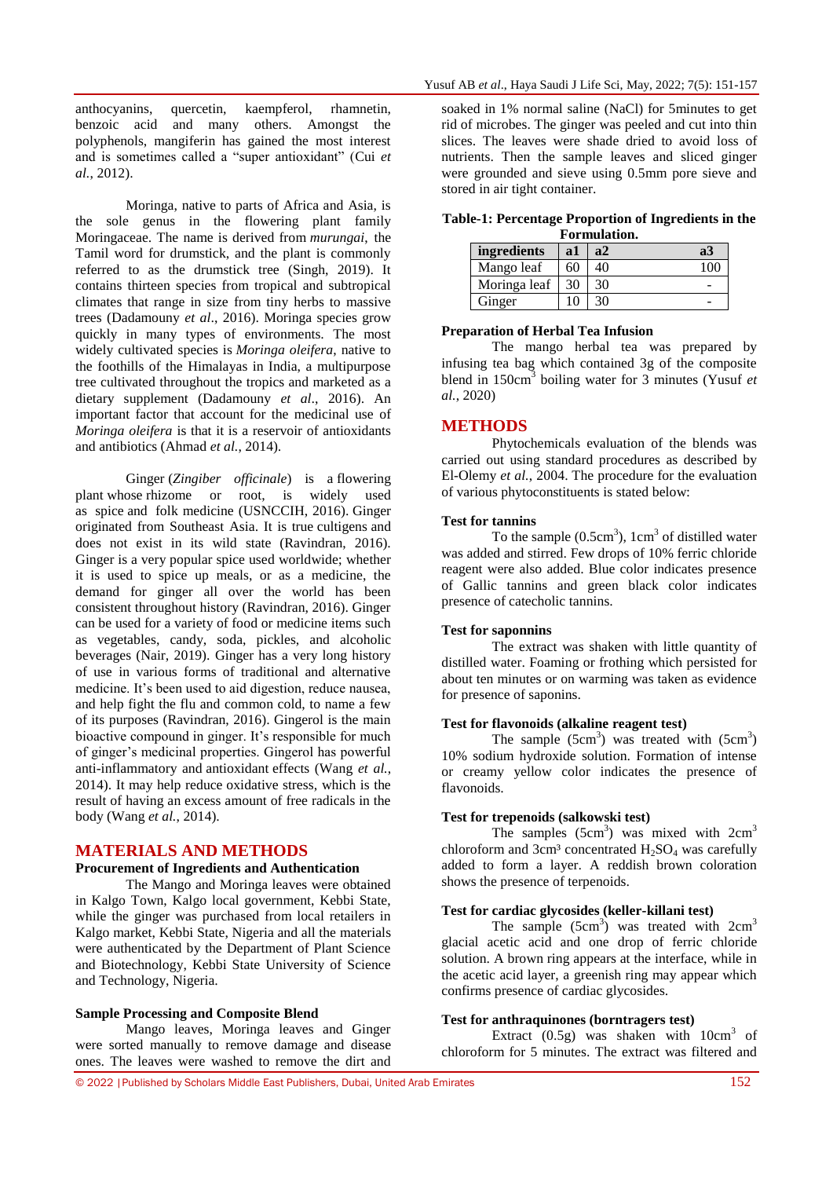anthocyanins, quercetin, kaempferol, rhamnetin, benzoic acid and many others. Amongst the polyphenols, mangiferin has gained the most interest and is sometimes called a "super antioxidant" (Cui *et al.*, 2012).

Moringa, native to parts of Africa and Asia, is the sole genus in the flowering plant family Moringaceae. The name is derived from *murungai*, the Tamil word for drumstick, and the plant is commonly referred to as the drumstick tree (Singh, 2019). It contains thirteen species from tropical and subtropical climates that range in size from tiny herbs to massive trees (Dadamouny *et al*., 2016). Moringa species grow quickly in many types of environments. The most widely cultivated species is *[Moringa oleifera](https://en.wikipedia.org/wiki/Moringa_oleifera)*, native to the foothills of the Himalayas in India, a multipurpose tree cultivated throughout the tropics and marketed as a dietary supplement (Dadamouny *et al*., 2016). An important factor that account for the medicinal use of *Moringa oleifera* is that it is a reservoir of antioxidants and antibiotics (Ahmad *et al.*, 2014).

Ginger (*Zingiber officinale*) is a [flowering](https://en.wikipedia.org/wiki/Flowering_plant)  [plant](https://en.wikipedia.org/wiki/Flowering_plant) whose [rhizome](https://en.wikipedia.org/wiki/Rhizome) or root, is widely used as [spice](https://en.wikipedia.org/wiki/Spice) and [folk medicine](https://en.wikipedia.org/wiki/Folk_medicine) (U[SNCCIH,](https://en.wikipedia.org/wiki/National_Center_for_Complementary_and_Integrative_Health) 2016). Ginger originated from [Southeast Asia.](https://en.wikipedia.org/wiki/Maritime_Southeast_Asia) It is true [cultigens](https://en.wikipedia.org/wiki/Cultigen) and does not exist in its wild state (Ravindran, 2016). Ginger is a very popular spice used worldwide; whether it is used to spice up meals, or as a medicine, the demand for ginger all over the world has been consistent throughout history (Ravindran, 2016). Ginger can be used for a variety of food or medicine items such as vegetables, candy, soda, pickles, and alcoholic beverages (Nair, 2019). Ginger has a very long history of use in various forms of traditional and alternative medicine. It's been used to aid digestion, reduce nausea, and help fight the flu and common cold, to name a few of its purposes (Ravindran, 2016). Gingerol is the main bioactive compound in ginger. It's responsible for much of ginger's medicinal properties. Gingerol has powerful anti-inflammatory and [antioxidant](https://www.healthline.com/nutrition/antioxidants-explained) effects (Wang *et al.*, 2014). It may help reduce [oxidative stress,](https://www.healthline.com/health/oxidative-stress) which is the result of having an excess amount of free radicals in the body (Wang *et al.*, 2014).

## **MATERIALS AND METHODS**

## **Procurement of Ingredients and Authentication**

The Mango and Moringa leaves were obtained in Kalgo Town, Kalgo local government, Kebbi State, while the ginger was purchased from local retailers in Kalgo market, Kebbi State, Nigeria and all the materials were authenticated by the Department of Plant Science and Biotechnology, Kebbi State University of Science and Technology, Nigeria.

#### **Sample Processing and Composite Blend**

Mango leaves, Moringa leaves and Ginger were sorted manually to remove damage and disease ones. The leaves were washed to remove the dirt and

soaked in 1% normal saline (NaCl) for 5minutes to get rid of microbes. The ginger was peeled and cut into thin slices. The leaves were shade dried to avoid loss of nutrients. Then the sample leaves and sliced ginger were grounded and sieve using 0.5mm pore sieve and stored in air tight container.

|             |               | Formulation. | Table-1: Percentage Proportion of Ingredients in the |  |
|-------------|---------------|--------------|------------------------------------------------------|--|
| ingredients | a1            | a2           | a3                                                   |  |
| Mango leaf  | $160^{\circ}$ | 40           | 100                                                  |  |

Moringa leaf  $\begin{array}{|c|c|c|} \hline 30 & 30 \\ \hline \end{array}$ 

#### **Preparation of Herbal Tea Infusion**

Ginger 10 30

The mango herbal tea was prepared by infusing tea bag which contained 3g of the composite blend in 150cm<sup>3</sup> boiling water for 3 minutes (Yusuf *et al.*, 2020)

#### **METHODS**

Phytochemicals evaluation of the blends was carried out using standard procedures as described by El-Olemy *et al.*, 2004. The procedure for the evaluation of various phytoconstituents is stated below:

#### **Test for tannins**

To the sample  $(0.5cm<sup>3</sup>)$ , 1cm<sup>3</sup> of distilled water was added and stirred. Few drops of 10% ferric chloride reagent were also added. Blue color indicates presence of Gallic tannins and green black color indicates presence of catecholic tannins.

#### **Test for saponnins**

The extract was shaken with little quantity of distilled water. Foaming or frothing which persisted for about ten minutes or on warming was taken as evidence for presence of saponins.

#### **Test for flavonoids (alkaline reagent test)**

The sample  $(5cm<sup>3</sup>)$  was treated with  $(5cm<sup>3</sup>)$ 10% sodium hydroxide solution. Formation of intense or creamy yellow color indicates the presence of flavonoids.

## **Test for trepenoids (salkowski test)**

The samples  $(5cm<sup>3</sup>)$  was mixed with  $2cm<sup>3</sup>$ chloroform and  $3cm<sup>3</sup>$  concentrated  $H<sub>2</sub>SO<sub>4</sub>$  was carefully added to form a layer. A reddish brown coloration shows the presence of terpenoids.

## **Test for cardiac glycosides (keller-killani test)**

The sample  $(5cm<sup>3</sup>)$  was treated with  $2cm<sup>3</sup>$ glacial acetic acid and one drop of ferric chloride solution. A brown ring appears at the interface, while in the acetic acid layer, a greenish ring may appear which confirms presence of cardiac glycosides.

#### **Test for anthraquinones (borntragers test)**

Extract  $(0.5g)$  was shaken with  $10cm<sup>3</sup>$  of chloroform for 5 minutes. The extract was filtered and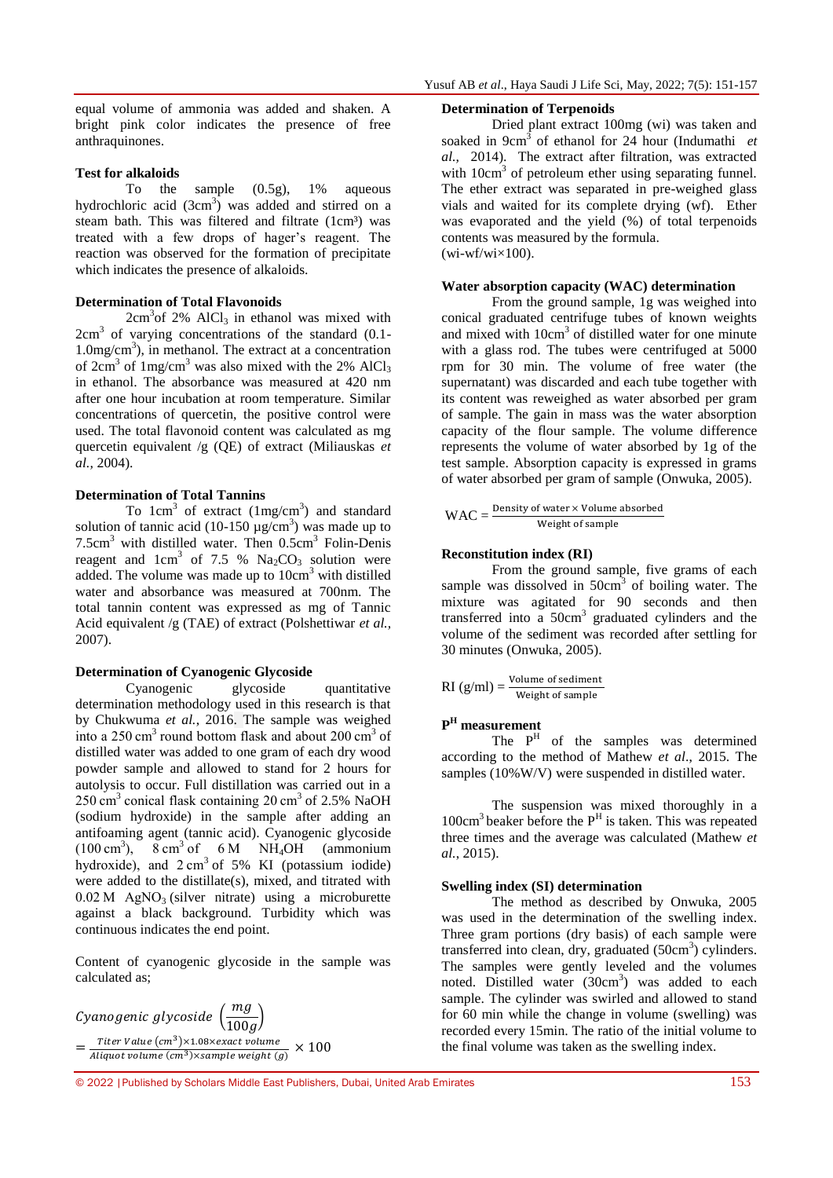equal volume of ammonia was added and shaken. A bright pink color indicates the presence of free anthraquinones.

#### **Test for alkaloids**

To the sample (0.5g), 1% aqueous hydrochloric acid  $(3cm<sup>3</sup>)$  was added and stirred on a steam bath. This was filtered and filtrate (1cm<sup>3</sup>) was treated with a few drops of hager's reagent. The reaction was observed for the formation of precipitate which indicates the presence of alkaloids.

#### **Determination of Total Flavonoids**

 $2cm<sup>3</sup>$ of 2% AlCl<sub>3</sub> in ethanol was mixed with 2cm<sup>3</sup> of varying concentrations of the standard (0.1-1.0mg/cm<sup>3</sup> ), in methanol. The extract at a concentration of  $2 \text{cm}^3$  of  $1 \text{mg/cm}^3$  was also mixed with the 2% AlCl<sub>3</sub> in ethanol. The absorbance was measured at 420 nm after one hour incubation at room temperature. Similar concentrations of quercetin, the positive control were used. The total flavonoid content was calculated as mg quercetin equivalent /g (QE) of extract (Miliauskas *et al.,* 2004).

## **Determination of Total Tannins**

To  $1 \text{cm}^3$  of extract  $(1 \text{mg/cm}^3)$  and standard solution of tannic acid (10-150  $\mu$ g/cm<sup>3</sup>) was made up to  $7.5cm<sup>3</sup>$  with distilled water. Then  $0.5cm<sup>3</sup>$  Folin-Denis reagent and  $1 \text{cm}^3$  of 7.5 %  $\text{Na}_2\text{CO}_3$  solution were added. The volume was made up to  $10 \text{cm}^3$  with distilled water and absorbance was measured at 700nm. The total tannin content was expressed as mg of Tannic Acid equivalent /g (TAE) of extract (Polshettiwar *et al.,* 2007).

### **Determination of Cyanogenic Glycoside**

Cyanogenic glycoside quantitative determination methodology used in this research is that by Chukwuma *et al.*, 2016. The sample was weighed into a 250 cm<sup>3</sup> round bottom flask and about 200 cm<sup>3</sup> of distilled water was added to one gram of each dry wood powder sample and allowed to stand for 2 hours for autolysis to occur. Full distillation was carried out in a  $250 \text{ cm}^3$  conical flask containing  $20 \text{ cm}^3$  of  $2.5\%$  NaOH (sodium hydroxide) in the sample after adding an antifoaming agent (tannic acid). Cyanogenic glycoside  $(100 \text{ cm}^3)$ ,  $8 \text{ cm}^3 \text{ of } 6 \text{ M}$  NH<sub>4</sub>OH (ammonium hydroxide), and  $2 \text{ cm}^3$  of 5% KI (potassium iodide) were added to the distillate(s), mixed, and titrated with  $0.02$  M AgNO<sub>3</sub> (silver nitrate) using a microburette against a black background. Turbidity which was continuous indicates the end point.

Content of cyanogenic glycoside in the sample was calculated as;



#### **Determination of Terpenoids**

Dried plant extract 100mg (wi) was taken and soaked in 9cm<sup>3</sup> of ethanol for 24 hour (Indumathi *et al.,* 2014). The extract after filtration, was extracted with 10cm<sup>3</sup> of petroleum ether using separating funnel. The ether extract was separated in pre-weighed glass vials and waited for its complete drying (wf). Ether was evaporated and the yield (%) of total terpenoids contents was measured by the formula.  $(wi-wf/wi\times100)$ .

#### **Water absorption capacity (WAC) determination**

From the ground sample, 1g was weighed into conical graduated centrifuge tubes of known weights and mixed with 10cm<sup>3</sup> of distilled water for one minute with a glass rod. The tubes were centrifuged at 5000 rpm for 30 min. The volume of free water (the supernatant) was discarded and each tube together with its content was reweighed as water absorbed per gram of sample. The gain in mass was the water absorption capacity of the flour sample. The volume difference represents the volume of water absorbed by 1g of the test sample. Absorption capacity is expressed in grams of water absorbed per gram of sample (Onwuka, 2005).

$$
WAC = \frac{Density of water \times Volume absorbed}{Weight of sample}
$$

#### **Reconstitution index (RI)**

From the ground sample, five grams of each sample was dissolved in  $50 \text{cm}^3$  of boiling water. The mixture was agitated for 90 seconds and then transferred into a  $50 \text{cm}^3$  graduated cylinders and the volume of the sediment was recorded after settling for 30 minutes (Onwuka, 2005).

 $RI(g/ml) = \frac{vol}{W}$ 

## **P <sup>H</sup> measurement**

The  $P<sup>H</sup>$  of the samples was determined according to the method of Mathew *et al*., 2015. The samples (10%W/V) were suspended in distilled water.

The suspension was mixed thoroughly in a  $100 \text{cm}^3$  beaker before the  $P^H$  is taken. This was repeated three times and the average was calculated (Mathew *et al.*, 2015).

#### **Swelling index (SI) determination**

The method as described by Onwuka, 2005 was used in the determination of the swelling index. Three gram portions (dry basis) of each sample were transferred into clean, dry, graduated  $(50 \text{cm}^3)$  cylinders. The samples were gently leveled and the volumes noted. Distilled water  $(30cm<sup>3</sup>)$  was added to each sample. The cylinder was swirled and allowed to stand for 60 min while the change in volume (swelling) was recorded every 15min. The ratio of the initial volume to the final volume was taken as the swelling index.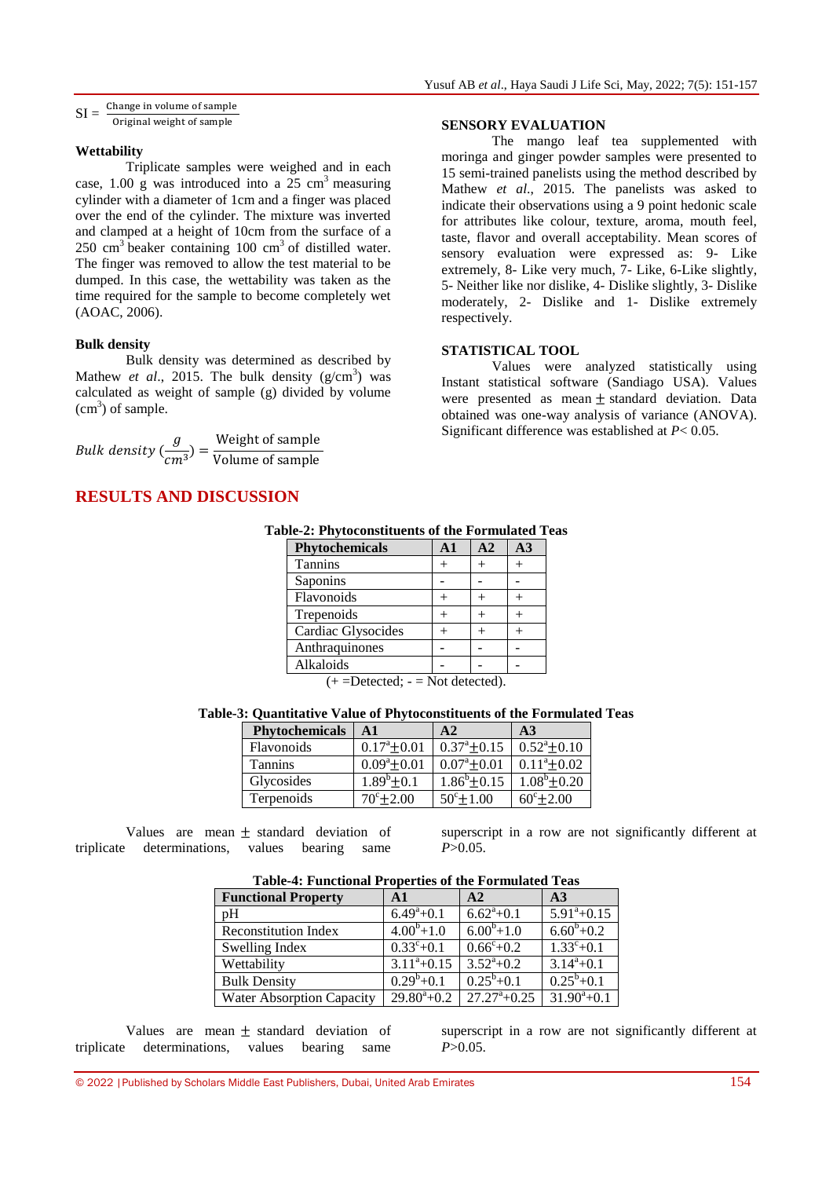## **Wettability**

Triplicate samples were weighed and in each case, 1.00 g was introduced into a  $25 \text{ cm}^3$  measuring cylinder with a diameter of 1cm and a finger was placed over the end of the cylinder. The mixture was inverted and clamped at a height of 10cm from the surface of a  $250 \text{ cm}^3$  beaker containing 100  $\text{cm}^3$  of distilled water. The finger was removed to allow the test material to be dumped. In this case, the wettability was taken as the time required for the sample to become completely wet (AOAC, 2006).

## **Bulk density**

Bulk density was determined as described by Mathew *et al.*, 2015. The bulk density  $(g/cm^3)$  was calculated as weight of sample (g) divided by volume  $(cm<sup>3</sup>)$  of sample.

Bulk density ( $\frac{g}{\sqrt{g}}$  $\frac{g}{cm^3}$ ) =  $\frac{W}{Vg}$ V

## **RESULTS AND DISCUSSION**

## **SENSORY EVALUATION**

The mango leaf tea supplemented with moringa and ginger powder samples were presented to 15 semi-trained panelists using the method described by Mathew *et al*., 2015. The panelists was asked to indicate their observations using a 9 point hedonic scale for attributes like colour, texture, aroma, mouth feel, taste, flavor and overall acceptability. Mean scores of sensory evaluation were expressed as: 9- Like extremely, 8- Like very much, 7- Like, 6-Like slightly, 5- Neither like nor dislike, 4- Dislike slightly, 3- Dislike moderately, 2- Dislike and 1- Dislike extremely respectively.

## **STATISTICAL TOOL**

Values were analyzed statistically using Instant statistical software (Sandiago USA). Values were presented as mean  $\pm$  standard deviation. Data obtained was one-way analysis of variance (ANOVA). Significant difference was established at *P*< 0.05.

|  | Table-2: Phytoconstituents of the Formulated Teas |  |  |  |  |
|--|---------------------------------------------------|--|--|--|--|
|  |                                                   |  |  |  |  |

| <b>Phytochemicals</b> | A <sub>1</sub> | A <sub>2</sub> | $\mathbf{A}3$ |
|-----------------------|----------------|----------------|---------------|
| <b>Tannins</b>        |                |                |               |
| Saponins              |                |                |               |
| Flavonoids            |                |                |               |
| Trepenoids            |                |                |               |
| Cardiac Glysocides    |                |                |               |
| Anthraquinones        |                |                |               |
| Alkaloids             |                |                |               |

 $(+=Detected; -=Not detected).$ 

**Table-3: Quantitative Value of Phytoconstituents of the Formulated Teas**

| Phytochemicals | $\mathbf{A1}$         | A2                    | A <sub>3</sub>       |
|----------------|-----------------------|-----------------------|----------------------|
| Flavonoids     | $0.17^{\circ}$ ± 0.01 | $0.37^{\circ}$ ± 0.15 | $0.52^{\circ}$ ±0.10 |
| <b>Tannins</b> | $0.09^a \pm 0.01$     | $0.07^{\circ}$ + 0.01 | $0.11^{\circ}+0.02$  |
| Glycosides     | $1.89^b + 0.1$        | $1.86^b \pm 0.15$     | $1.08^b \pm 0.20$    |
| Terpenoids     | $70^{\circ}$ ± 2.00   | $50^\circ \pm 1.00$   | $60^{\circ}$ ± 2.00  |

Values are mean  $\pm$  standard deviation of triplicate determinations, values bearing same

superscript in a row are not significantly different at *P*>0.05.

| Table-4: Functional Froperies of the Formulated Teas |                     |                           |                     |  |  |  |  |  |  |
|------------------------------------------------------|---------------------|---------------------------|---------------------|--|--|--|--|--|--|
| <b>Functional Property</b>                           | $\mathbf{A1}$       | A2                        | A <sub>3</sub>      |  |  |  |  |  |  |
| pH                                                   | $6.49^{\circ}+0.1$  | $6.62^{\mathrm{a}} + 0.1$ | $5.91^{\circ}+0.15$ |  |  |  |  |  |  |
| <b>Reconstitution Index</b>                          | $4.00^{b}+1.0$      | $6.00^{b} + 1.0$          | $6.60^{b} + 0.2$    |  |  |  |  |  |  |
| Swelling Index                                       | $0.33^{\circ}+0.1$  | $0.66^{\circ}+0.2$        | $1.33^{\circ}+0.1$  |  |  |  |  |  |  |
| Wettability                                          | $3.11^{\circ}+0.15$ | $3.52^a + 0.2$            | $3.14^a + 0.1$      |  |  |  |  |  |  |
| <b>Bulk Density</b>                                  | $0.29^b + 0.1$      | $0.25^b + 0.1$            | $0.25^b + 0.1$      |  |  |  |  |  |  |
| <b>Water Absorption Capacity</b>                     | $29.80^{\circ}+0.2$ | $27.27^{\circ}+0.25$      | $31.90^a + 0.1$     |  |  |  |  |  |  |

## **Table-4: Functional Properties of the Formulated Teas**

Values are mean  $\pm$  standard deviation of triplicate determinations, values bearing same

superscript in a row are not significantly different at *P*>0.05.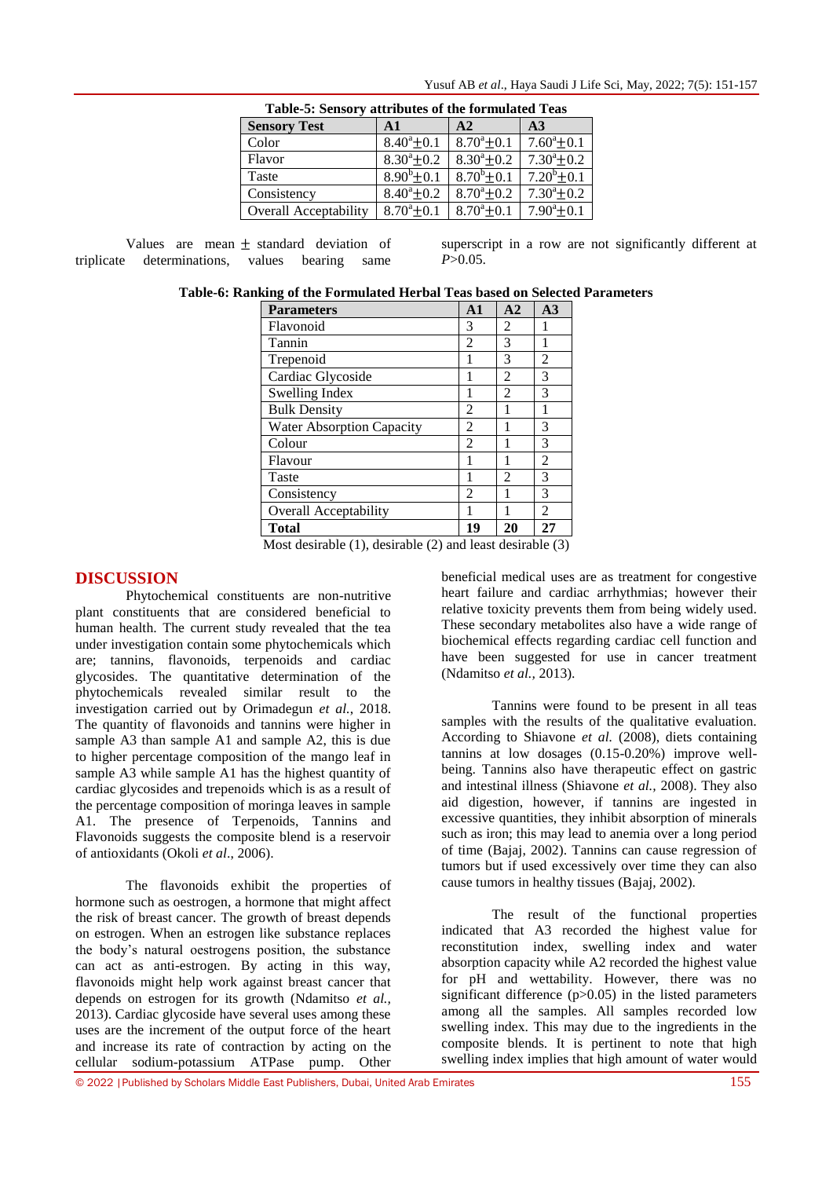| Table-5: Sensory attributes of the formulated Teas |                      |                      |                      |  |  |  |  |  |  |
|----------------------------------------------------|----------------------|----------------------|----------------------|--|--|--|--|--|--|
| <b>Sensory Test</b>                                | $\mathbf{A}$ 1       | A2                   | A <sub>3</sub>       |  |  |  |  |  |  |
| Color                                              | $8.40^{\circ} + 0.1$ | $8.70^{\circ}+0.1$   | $7.60^{\circ}$ ± 0.1 |  |  |  |  |  |  |
| Flavor                                             | $8.30^{\circ} + 0.2$ | $8.30^a + 0.2$       | $7.30^{\circ}+0.2$   |  |  |  |  |  |  |
| Taste                                              | $8.90^{b}$ + 0.1     | $8.70^{b} \pm 0.1$   | $7.20^b + 0.1$       |  |  |  |  |  |  |
| Consistency                                        | $8.40^{\circ}$ + 0.2 | $8.70^{\circ}$ + 0.2 | $7.30^a + 0.2$       |  |  |  |  |  |  |
| <b>Overall Acceptability</b>                       | $8.70^{\circ}$ + 0.1 | $8.70^{\circ}$ ± 0.1 | $7.90^{\circ}$ ± 0.1 |  |  |  |  |  |  |

Yusuf AB *et al*., Haya Saudi J Life Sci, May, 2022; 7(5): 151-157

Values are mean  $+$  standard deviation of triplicate determinations, values bearing same

superscript in a row are not significantly different at *P*>0.05.

| Table-6: Ranking of the Formulated Herbal Teas based on Selected Parameters |  |  |  |  |  |  |  |  |  |  |
|-----------------------------------------------------------------------------|--|--|--|--|--|--|--|--|--|--|
|-----------------------------------------------------------------------------|--|--|--|--|--|--|--|--|--|--|

| <b>Parameters</b>                | $\mathbf{A1}$  | A2 | A3             |
|----------------------------------|----------------|----|----------------|
| Flavonoid                        | 3              | 2  |                |
| Tannin                           | $\overline{2}$ | 3  |                |
| Trepenoid                        |                | 3  | $\overline{c}$ |
| Cardiac Glycoside                |                | 2  | 3              |
| Swelling Index                   |                | 2  | 3              |
| <b>Bulk Density</b>              | 2              |    |                |
| <b>Water Absorption Capacity</b> | 2              |    | 3              |
| Colour                           | $\overline{c}$ |    | 3              |
| Flavour                          | 1              |    | $\overline{c}$ |
| Taste                            |                | 2  | 3              |
| Consistency                      | 2              |    | 3              |
| <b>Overall Acceptability</b>     | 1              |    | $\mathfrak{D}$ |
| Total                            | 19             | 20 | 27             |

Most desirable (1), desirable (2) and least desirable (3)

## **DISCUSSION**

Phytochemical constituents are non-nutritive plant constituents that are considered beneficial to human health. The current study revealed that the tea under investigation contain some phytochemicals which are; tannins, flavonoids, terpenoids and cardiac glycosides. The quantitative determination of the phytochemicals revealed similar result to the investigation carried out by Orimadegun *et al.*, 2018. The quantity of flavonoids and tannins were higher in sample A3 than sample A1 and sample A2, this is due to higher percentage composition of the mango leaf in sample A3 while sample A1 has the highest quantity of cardiac glycosides and trepenoids which is as a result of the percentage composition of moringa leaves in sample A1. The presence of Terpenoids, Tannins and Flavonoids suggests the composite blend is a reservoir of antioxidants (Okoli *et al*., 2006).

The flavonoids exhibit the properties of hormone such as oestrogen, a hormone that might affect the risk of breast cancer. The growth of breast depends on estrogen. When an estrogen like substance replaces the body's natural oestrogens position, the substance can act as anti-estrogen. By acting in this way, flavonoids might help work against breast cancer that depends on estrogen for its growth (Ndamitso *et al.,*  2013). Cardiac glycoside have several uses among these uses are the increment of the output force of the heart and increase its rate of contraction by acting on the cellular sodium-potassium ATPase pump. Other

beneficial medical uses are as treatment for congestive heart failure and cardiac arrhythmias; however their relative toxicity prevents them from being widely used. These secondary metabolites also have a wide range of biochemical effects regarding cardiac cell function and have been suggested for use in cancer treatment (Ndamitso *et al.,* 2013).

Tannins were found to be present in all teas samples with the results of the qualitative evaluation. According to Shiavone *et al.* (2008), diets containing tannins at low dosages (0.15-0.20%) improve wellbeing. Tannins also have therapeutic effect on gastric and intestinal illness (Shiavone *et al.,* 2008). They also aid digestion, however, if tannins are ingested in excessive quantities, they inhibit absorption of minerals such as iron; this may lead to anemia over a long period of time (Bajaj, 2002). Tannins can cause regression of tumors but if used excessively over time they can also cause tumors in healthy tissues (Bajaj, 2002).

The result of the functional properties indicated that A3 recorded the highest value for reconstitution index, swelling index and water absorption capacity while A2 recorded the highest value for pH and wettability. However, there was no significant difference (p>0.05) in the listed parameters among all the samples. All samples recorded low swelling index. This may due to the ingredients in the composite blends. It is pertinent to note that high swelling index implies that high amount of water would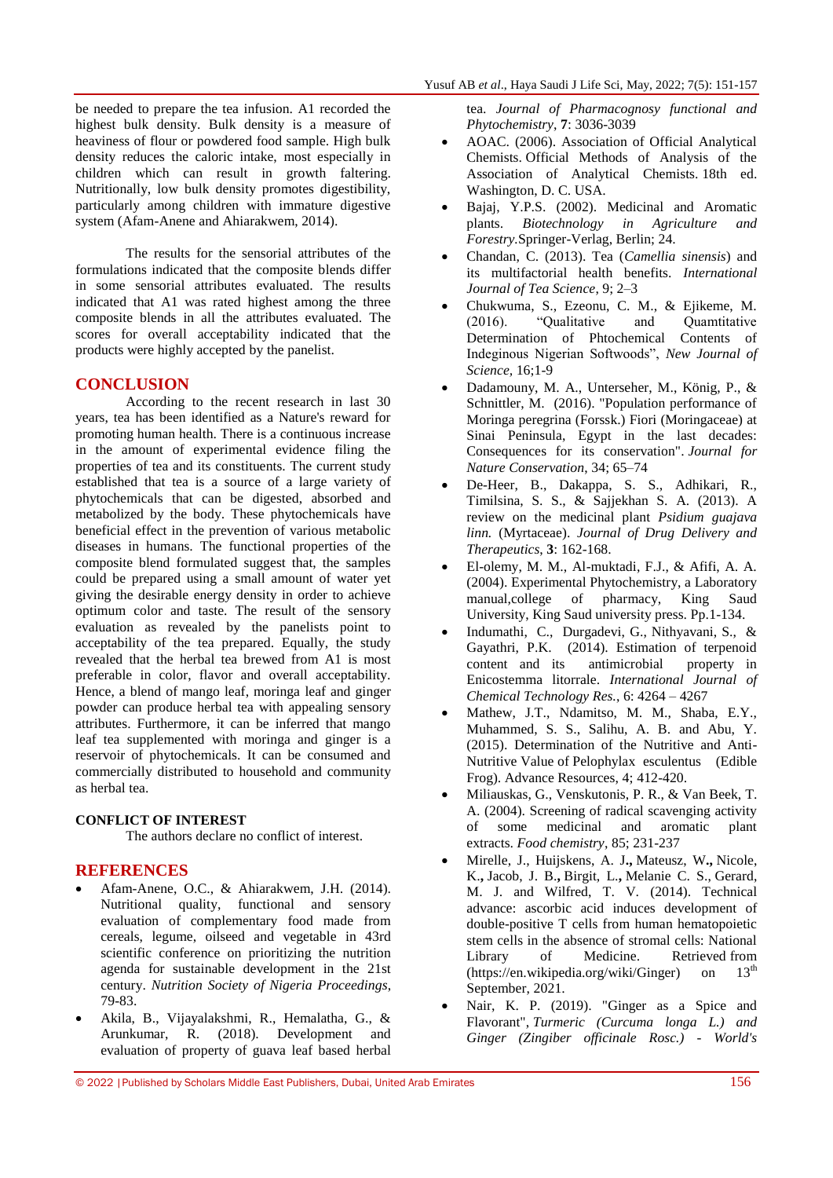be needed to prepare the tea infusion. A1 recorded the highest bulk density. Bulk density is a measure of heaviness of flour or powdered food sample. High bulk density reduces the caloric intake, most especially in children which can result in growth faltering. Nutritionally, low bulk density promotes digestibility, particularly among children with immature digestive system (Afam-Anene and Ahiarakwem, 2014).

The results for the sensorial attributes of the formulations indicated that the composite blends differ in some sensorial attributes evaluated. The results indicated that A1 was rated highest among the three composite blends in all the attributes evaluated. The scores for overall acceptability indicated that the products were highly accepted by the panelist.

## **CONCLUSION**

According to the recent research in last 30 years, tea has been identified as a Nature's reward for promoting human health. There is a continuous increase in the amount of experimental evidence filing the properties of tea and its constituents. The current study established that tea is a source of a large variety of phytochemicals that can be digested, absorbed and metabolized by the body. These phytochemicals have beneficial effect in the prevention of various metabolic diseases in humans. The functional properties of the composite blend formulated suggest that, the samples could be prepared using a small amount of water yet giving the desirable energy density in order to achieve optimum color and taste. The result of the sensory evaluation as revealed by the panelists point to acceptability of the tea prepared. Equally, the study revealed that the herbal tea brewed from A1 is most preferable in color, flavor and overall acceptability. Hence, a blend of mango leaf, moringa leaf and ginger powder can produce herbal tea with appealing sensory attributes. Furthermore, it can be inferred that mango leaf tea supplemented with moringa and ginger is a reservoir of phytochemicals. It can be consumed and commercially distributed to household and community as herbal tea.

## **CONFLICT OF INTEREST**

The authors declare no conflict of interest.

## **REFERENCES**

- Afam-Anene, O.C., & Ahiarakwem, J.H. (2014). Nutritional quality, functional and sensory evaluation of complementary food made from cereals, legume, oilseed and vegetable in 43rd scientific conference on prioritizing the nutrition agenda for sustainable development in the 21st century. *Nutrition Society of Nigeria Proceedings*, 79-83.
- Akila, B., Vijayalakshmi, R., Hemalatha, G., & Arunkumar, R. (2018). Development and evaluation of property of guava leaf based herbal

tea. *Journal of Pharmacognosy functional and Phytochemistry*, **7**: 3036-3039

- AOAC. (2006). Association of Official Analytical Chemists. Official Methods of Analysis of the Association of Analytical Chemists. 18th ed. Washington, D. C. USA.
- Bajaj, Y.P.S. (2002). Medicinal and Aromatic plants. *Biotechnology in Agriculture and Forestry.*Springer-Verlag, Berlin; 24.
- Chandan, C. (2013). Tea (*Camellia sinensis*) and its multifactorial health benefits. *International Journal of Tea Science*, 9; 2–3
- Chukwuma, S., Ezeonu, C. M., & Ejikeme, M. (2016). "Qualitative and Quamtitative Determination of Phtochemical Contents of Indeginous Nigerian Softwoods", *New Journal of Science,* 16;1-9
- Dadamouny, M. A., Unterseher, M., König, P., & Schnittler, M. (2016). "Population performance of Moringa peregrina (Forssk.) Fiori (Moringaceae) at Sinai Peninsula, Egypt in the last decades: Consequences for its conservation". *Journal for Nature Conservation*, 34; 65–74
- De-Heer, B., Dakappa, S. S., Adhikari, R., Timilsina, S. S., & Sajjekhan S. A. (2013). A review on the medicinal plant *Psidium guajava linn.* (Myrtaceae). *Journal of Drug Delivery and Therapeutics*, **3**: 162-168.
- El-olemy, M. M., Al-muktadi, F.J., & Afifi, A. A. (2004). Experimental Phytochemistry, a Laboratory manual,college of pharmacy, King Saud University, King Saud university press. Pp.1-134.
- Indumathi, C., Durgadevi, G., Nithyavani, S., & Gayathri, P.K. (2014). Estimation of terpenoid content and its antimicrobial property in Enicostemma litorrale. *International Journal of Chemical Technology Res.*, 6: 4264 – 4267
- Mathew, J.T., Ndamitso, M. M., Shaba, E.Y., Muhammed, S. S., Salihu, A. B. and Abu, Y. (2015). Determination of the Nutritive and Anti-Nutritive Value of Pelophylax esculentus (Edible Frog). Advance Resources, 4; 412-420.
- Miliauskas, G., Venskutonis, P. R., & Van Beek, T. A. (2004). Screening of radical scavenging activity of some medicinal and aromatic plant extracts. *Food chemistry*, 85; 231-237
- [Mirelle, J., Huijskens, A. J](https://pubmed.ncbi.nlm.nih.gov/?term=Huijskens+MJ&cauthor_id=25157026)**.,** [Mateusz, W](https://pubmed.ncbi.nlm.nih.gov/?term=Walczak+M&cauthor_id=25157026)**.,** [Nicole,](https://pubmed.ncbi.nlm.nih.gov/?term=Koller+N&cauthor_id=25157026)  [K.](https://pubmed.ncbi.nlm.nih.gov/?term=Koller+N&cauthor_id=25157026)**,** [Jacob, J. B.](https://pubmed.ncbi.nlm.nih.gov/?term=Bried%C3%A9+JJ&cauthor_id=25157026)**,** [Birgit, L.](https://pubmed.ncbi.nlm.nih.gov/?term=Senden-Gijsbers+BL&cauthor_id=25157026)**,** [Melanie C. S.,](https://pubmed.ncbi.nlm.nih.gov/?term=Schnijderberg+MC&cauthor_id=25157026) [Gerard,](https://pubmed.ncbi.nlm.nih.gov/?term=Bos+GM&cauthor_id=25157026)  [M. J.](https://pubmed.ncbi.nlm.nih.gov/?term=Bos+GM&cauthor_id=25157026) and [Wilfred, T. V.](https://pubmed.ncbi.nlm.nih.gov/?term=Germeraad+WT&cauthor_id=25157026) (2014). Technical advance: ascorbic acid induces development of double-positive T cells from human hematopoietic stem cells in the absence of stromal cells: National Library of Medicine. Retrieved from<br>(https://en.wikipedia.org/wiki/Ginger) on 13<sup>th</sup> [\(https://en.wikipedia.org/wiki/Ginger\)](https://en.wikipedia.org/wiki/Ginger) on September, 2021.
- Nair, K. P. (2019). "Ginger as a Spice and Flavorant", *Turmeric (Curcuma longa L.) and Ginger (Zingiber officinale Rosc.) - World's*